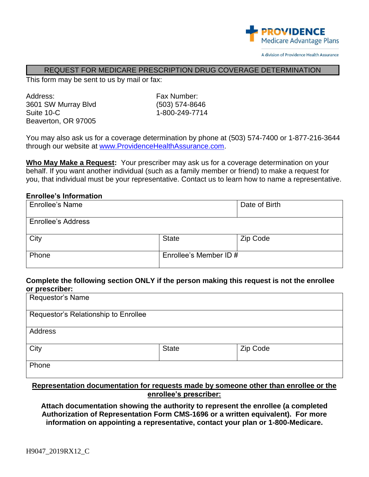

#### REQUEST FOR MEDICARE PRESCRIPTION DRUG COVERAGE DETERMINATION

This form may be sent to us by mail or fax:

Address: Fax Number: 3601 SW Murray Blvd (503) 574-8646 Suite 10-C 1-800-249-7714 Beaverton, OR 97005

You may also ask us for a coverage determination by phone at (503) 574-7400 or 1-877-216-3644 through our website at [www.ProvidenceHealthAssurance.com.](http://www.providencehealthassurance.com/)

**Who May Make a Request:** Your prescriber may ask us for a coverage determination on your behalf. If you want another individual (such as a family member or friend) to make a request for you, that individual must be your representative. Contact us to learn how to name a representative.

#### **Enrollee's Information**

| Enrollee's Name           |                        | Date of Birth |
|---------------------------|------------------------|---------------|
| <b>Enrollee's Address</b> |                        |               |
| City                      | <b>State</b>           | Zip Code      |
| Phone                     | Enrollee's Member ID # |               |

## **Complete the following section ONLY if the person making this request is not the enrollee or prescriber:**

| Requestor's Name                     |                                                                                  |          |  |
|--------------------------------------|----------------------------------------------------------------------------------|----------|--|
| Requestor's Relationship to Enrollee |                                                                                  |          |  |
| Address                              |                                                                                  |          |  |
| City                                 | <b>State</b>                                                                     | Zip Code |  |
| Phone                                |                                                                                  |          |  |
|                                      | Dengenaateting dengantating fergenaate mede by nomenne ether then engeles er the |          |  |

### **Representation documentation for requests made by someone other than enrollee or the enrollee's prescriber:**

**Attach documentation showing the authority to represent the enrollee (a completed Authorization of Representation Form CMS-1696 or a written equivalent). For more information on appointing a representative, contact your plan or 1-800-Medicare.**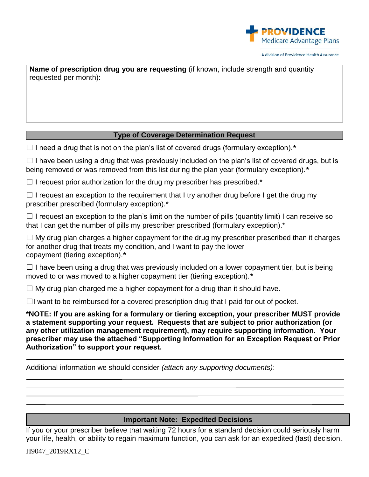

**Name of prescription drug you are requesting** (if known, include strength and quantity requested per month):

### **Type of Coverage Determination Request**

☐ I need a drug that is not on the plan's list of covered drugs (formulary exception).*\**

 $\Box$  I have been using a drug that was previously included on the plan's list of covered drugs, but is being removed or was removed from this list during the plan year (formulary exception).*\**

 $\Box$  I request prior authorization for the drug my prescriber has prescribed.\*

 $\Box$  I request an exception to the requirement that I try another drug before I get the drug my prescriber prescribed (formulary exception).\*

 $\Box$  I request an exception to the plan's limit on the number of pills (quantity limit) I can receive so that I can get the number of pills my prescriber prescribed (formulary exception).\*

 $\Box$  My drug plan charges a higher copayment for the drug my prescriber prescribed than it charges for another drug that treats my condition, and I want to pay the lower copayment (tiering exception).*\**

 $\Box$  I have been using a drug that was previously included on a lower copayment tier, but is being moved to or was moved to a higher copayment tier (tiering exception).*\**

 $\Box$  My drug plan charged me a higher copayment for a drug than it should have.

 $\Box$ I want to be reimbursed for a covered prescription drug that I paid for out of pocket.

**\*NOTE: If you are asking for a formulary or tiering exception, your prescriber MUST provide a statement supporting your request. Requests that are subject to prior authorization (or any other utilization management requirement), may require supporting information. Your prescriber may use the attached "Supporting Information for an Exception Request or Prior Authorization" to support your request.**

Additional information we should consider *(attach any supporting documents)*:

# **Important Note: Expedited Decisions**

If you or your prescriber believe that waiting 72 hours for a standard decision could seriously harm your life, health, or ability to regain maximum function, you can ask for an expedited (fast) decision.

H9047\_2019RX12\_C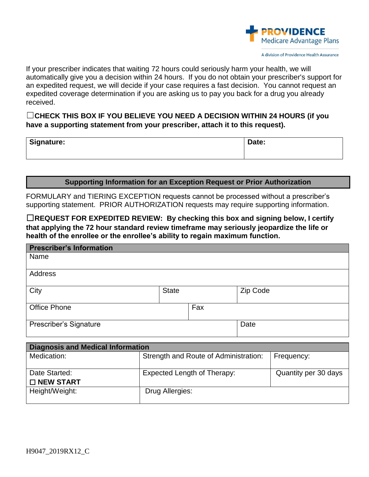

If your prescriber indicates that waiting 72 hours could seriously harm your health, we will automatically give you a decision within 24 hours. If you do not obtain your prescriber's support for an expedited request, we will decide if your case requires a fast decision. You cannot request an expedited coverage determination if you are asking us to pay you back for a drug you already received.

☐**CHECK THIS BOX IF YOU BELIEVE YOU NEED A DECISION WITHIN 24 HOURS (if you have a supporting statement from your prescriber, attach it to this request).** 

| Signature: | Date: |
|------------|-------|
|            |       |

#### **Supporting Information for an Exception Request or Prior Authorization**

FORMULARY and TIERING EXCEPTION requests cannot be processed without a prescriber's supporting statement. PRIOR AUTHORIZATION requests may require supporting information.

☐**REQUEST FOR EXPEDITED REVIEW: By checking this box and signing below, I certify that applying the 72 hour standard review timeframe may seriously jeopardize the life or health of the enrollee or the enrollee's ability to regain maximum function.**

| <b>Prescriber's Information</b> |              |     |          |
|---------------------------------|--------------|-----|----------|
| Name                            |              |     |          |
|                                 |              |     |          |
| Address                         |              |     |          |
|                                 |              |     |          |
| City                            | <b>State</b> |     | Zip Code |
|                                 |              |     |          |
| <b>Office Phone</b>             |              | Fax |          |
|                                 |              |     |          |
| Prescriber's Signature          |              |     | Date     |
|                                 |              |     |          |
|                                 |              |     |          |

| <b>Diagnosis and Medical Information</b> |                                       |                      |  |
|------------------------------------------|---------------------------------------|----------------------|--|
| Medication:                              | Strength and Route of Administration: | Frequency:           |  |
| Date Started:                            | Expected Length of Therapy:           | Quantity per 30 days |  |
| $\square$ NEW START                      |                                       |                      |  |
| Height/Weight:                           | Drug Allergies:                       |                      |  |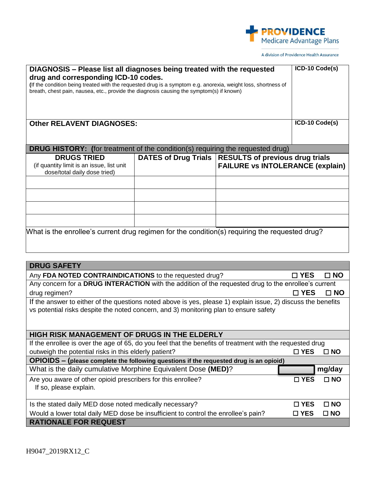

| DIAGNOSIS - Please list all diagnoses being treated with the requested<br>drug and corresponding ICD-10 codes.<br>(If the condition being treated with the requested drug is a symptom e.g. anorexia, weight loss, shortness of<br>breath, chest pain, nausea, etc., provide the diagnosis causing the symptom(s) if known) |                                                        |                                         | ICD-10 Code(s) |              |
|-----------------------------------------------------------------------------------------------------------------------------------------------------------------------------------------------------------------------------------------------------------------------------------------------------------------------------|--------------------------------------------------------|-----------------------------------------|----------------|--------------|
| <b>Other RELAVENT DIAGNOSES:</b>                                                                                                                                                                                                                                                                                            |                                                        |                                         | ICD-10 Code(s) |              |
| <b>DRUG HISTORY:</b> (for treatment of the condition(s) requiring the requested drug)                                                                                                                                                                                                                                       |                                                        |                                         |                |              |
| <b>DRUGS TRIED</b><br>(if quantity limit is an issue, list unit<br>dose/total daily dose tried)                                                                                                                                                                                                                             | DATES of Drug Trials   RESULTS of previous drug trials | <b>FAILURE vs INTOLERANCE (explain)</b> |                |              |
|                                                                                                                                                                                                                                                                                                                             |                                                        |                                         |                |              |
|                                                                                                                                                                                                                                                                                                                             |                                                        |                                         |                |              |
|                                                                                                                                                                                                                                                                                                                             |                                                        |                                         |                |              |
|                                                                                                                                                                                                                                                                                                                             |                                                        |                                         |                |              |
| What is the enrollee's current drug regimen for the condition(s) requiring the requested drug?                                                                                                                                                                                                                              |                                                        |                                         |                |              |
|                                                                                                                                                                                                                                                                                                                             |                                                        |                                         |                |              |
| <b>DRUG SAFETY</b>                                                                                                                                                                                                                                                                                                          |                                                        |                                         |                |              |
| Any FDA NOTED CONTRAINDICATIONS to the requested drug?                                                                                                                                                                                                                                                                      |                                                        |                                         | $\square$ YES  | $\square$ NO |
| Any concern for a DRUG INTERACTION with the addition of the requested drug to the enrollee's current                                                                                                                                                                                                                        |                                                        |                                         |                |              |
| drug regimen?<br>$\sim$ $\sim$                                                                                                                                                                                                                                                                                              |                                                        |                                         | $\Box$ YES     | $\square$ NO |

If the answer to either of the questions noted above is yes, please 1) explain issue, 2) discuss the benefits vs potential risks despite the noted concern, and 3) monitoring plan to ensure safety

| <b>HIGH RISK MANAGEMENT OF DRUGS IN THE ELDERLY</b>                                                       |               |              |  |
|-----------------------------------------------------------------------------------------------------------|---------------|--------------|--|
| If the enrollee is over the age of 65, do you feel that the benefits of treatment with the requested drug |               |              |  |
| outweigh the potential risks in this elderly patient?                                                     | $\Box$ YES    | $\Box$ NO    |  |
| OPIOIDS - (please complete the following questions if the requested drug is an opioid)                    |               |              |  |
| What is the daily cumulative Morphine Equivalent Dose (MED)?                                              |               | mg/day       |  |
| Are you aware of other opioid prescribers for this enrollee?<br>If so, please explain.                    | $\sqcap$ YES  | $\Box$ NO    |  |
| Is the stated daily MED dose noted medically necessary?                                                   | $\Gamma$ YES  | $\Box$ NO    |  |
| Would a lower total daily MED dose be insufficient to control the enrollee's pain?                        | $\square$ YES | $\square$ NO |  |
| <b>RATIONALE FOR REQUEST</b>                                                                              |               |              |  |